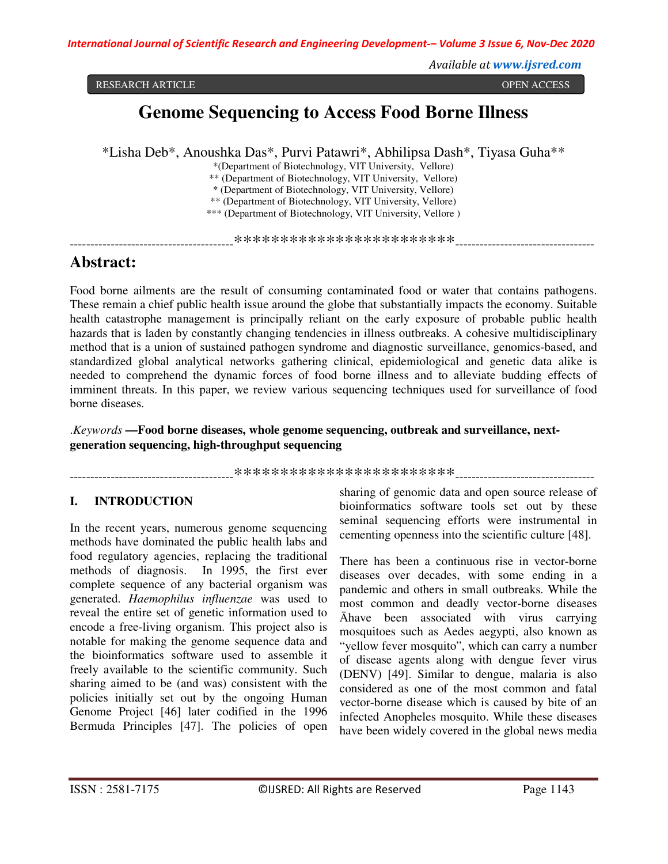*Available at www.ijsred.com*

ARTICLE OPEN ACCESS RESEARCH ARTICLE OPEN ACCESS

# **Genome Sequencing to Access Food Borne Illness**

\*Lisha Deb\*, Anoushka Das\*, Purvi Patawri\*, Abhilipsa Dash\*, Tiyasa Guha\*\*

\*(Department of Biotechnology, VIT University, Vellore)

\*\* (Department of Biotechnology, VIT University, Vellore)

\* (Department of Biotechnology, VIT University, Vellore)

\*\* (Department of Biotechnology, VIT University, Vellore)

\*\*\* (Department of Biotechnology, VIT University, Vellore )

----------------------------------------\*\*\*\*\*\*\*\*\*\*\*\*\*\*\*\*\*\*\*\*\*\*\*\*----------------------------------

# **Abstract:**

Food borne ailments are the result of consuming contaminated food or water that contains pathogens. These remain a chief public health issue around the globe that substantially impacts the economy. Suitable health catastrophe management is principally reliant on the early exposure of probable public health hazards that is laden by constantly changing tendencies in illness outbreaks. A cohesive multidisciplinary method that is a union of sustained pathogen syndrome and diagnostic surveillance, genomics-based, and standardized global analytical networks gathering clinical, epidemiological and genetic data alike is needed to comprehend the dynamic forces of food borne illness and to alleviate budding effects of imminent threats. In this paper, we review various sequencing techniques used for surveillance of food borne diseases.

.*Keywords* **—Food borne diseases, whole genome sequencing, outbreak and surveillance, nextgeneration sequencing, high-throughput sequencing** 

----------------------------------------\*\*\*\*\*\*\*\*\*\*\*\*\*\*\*\*\*\*\*\*\*\*\*\*----------------------------------

# **I. INTRODUCTION**

In the recent years, numerous genome sequencing methods have dominated the public health labs and food regulatory agencies, replacing the traditional methods of diagnosis. In 1995, the first ever complete sequence of any bacterial organism was generated. *Haemophilus influenzae* was used to reveal the entire set of genetic information used to encode a free-living organism. This project also is notable for making the genome sequence data and the bioinformatics software used to assemble it freely available to the scientific community. Such sharing aimed to be (and was) consistent with the policies initially set out by the ongoing Human Genome Project [46] later codified in the 1996 Bermuda Principles [47]. The policies of open

sharing of genomic data and open source release of bioinformatics software tools set out by these seminal sequencing efforts were instrumental in cementing openness into the scientific culture [48].

There has been a continuous rise in vector-borne diseases over decades, with some ending in a pandemic and others in small outbreaks. While the most common and deadly vector-borne diseases Āhave been associated with virus carrying mosquitoes such as Aedes aegypti, also known as "yellow fever mosquito", which can carry a number of disease agents along with dengue fever virus (DENV) [49]. Similar to dengue, malaria is also considered as one of the most common and fatal vector-borne disease which is caused by bite of an infected Anopheles mosquito. While these diseases have been widely covered in the global news media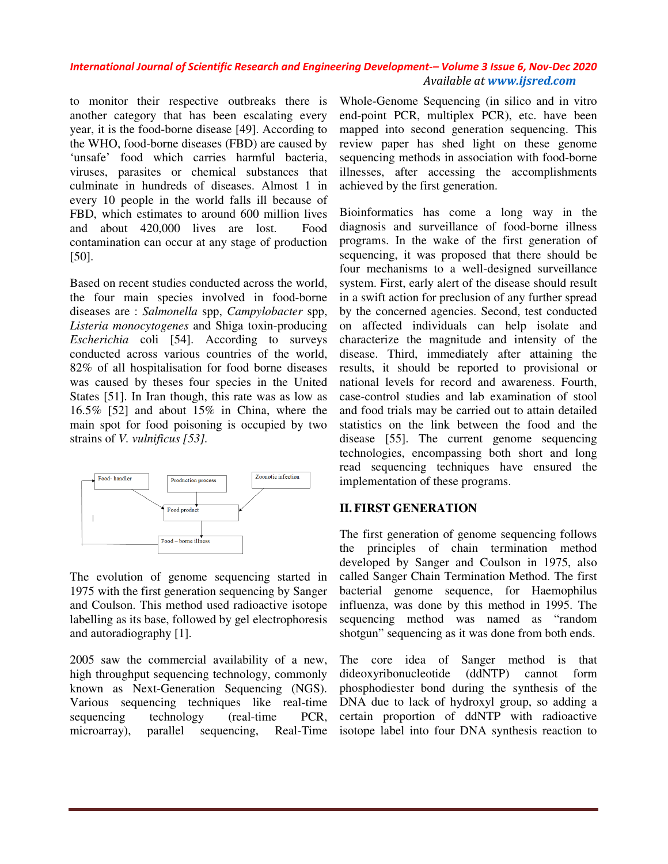to monitor their respective outbreaks there is another category that has been escalating every year, it is the food-borne disease [49]. According to the WHO, food-borne diseases (FBD) are caused by 'unsafe' food which carries harmful bacteria, viruses, parasites or chemical substances that culminate in hundreds of diseases. Almost 1 in every 10 people in the world falls ill because of FBD, which estimates to around 600 million lives and about 420,000 lives are lost. Food contamination can occur at any stage of production [50]. respective outbreaks there is<br>y that has been escalating every<br>od-borne diseases (FBD) are caused by<br>which carries harmful bacteria, parasites or chemical substances that<br>in hundreds of diseases. Almost 1 in<br>people in the world falls ill because of<br>ich estimates to around 600 million lives<br>ut 420,000 lives are lost. Food<br>ation can occur at any stage of

Based on recent studies conducted across the world, the four main species involved in food diseases are : *Salmonella* spp, *Campylobacter Campylobacter* spp, Listeria monocytogenes and Shiga toxin-producing *Escherichia* coli [54]. According to surveys conducted across various countries of the world, 82% of all hospitalisation for food borne diseases was caused by theses four species in the United States [51]. In Iran though, this rate was as low as 16.5% [52] and about 15% in China, where the main spot for food poisoning is occupied by strains of *V. vulnificus [53].*  across various countries of the world,<br>hospitalisation for food borne diseases<br>I by theses four species in the United<br>In Iran though, this rate was as low as<br>I and about 15% in China, where the<br>for food poisoning is occupi



The evolution of genome sequencing started in 1975 with the first generation sequencing by Sanger and Coulson. This method used radioactive isotope labelling as its base, followed by gel electrophoresis and autoradiography [1]. genome sequencing started in<br>generation sequencing by Sanger<br>imethod used radioactive isotope<br>e, followed by gel electrophoresis<br>hy [1].<br>mmercial availability of a new,<br>equencing technology, commonly<br>Generation Sequencing

2005 saw the commercial availability of a new, high throughput sequencing technology, commonly known as Next-Generation Sequencing (NGS). Various sequencing techniques like real sequencing technology (real-time PCR, sequencing technology (real-time PCR,<br>microarray), parallel sequencing, Real-Time

Whole-Genome Sequencing (in silico and in vitro end-point PCR, multiplex PCR), etc. have been mapped into second generation sequencing. This review paper has shed light on these genome sequencing methods in association with food-borne illnesses, after accessing the accomplishments achieved by the first generation. ble-Genome Sequencing (in silico and in vitro<br>point PCR, multiplex PCR), etc. have been<br>ped into second generation sequencing. This<br>ew paper has shed light on these genome

Bioinformatics has come a long way in the diagnosis and surveillance of food-borne illness programs. In the wake of the first generation of sequencing, it was proposed that there should be four mechanisms to a well-designed surveillance system. First, early alert of the disease should result in a swift action for preclusion of any further spread by the concerned agencies. Second, test conducted on affected individuals can help isolate and characterize the magnitude and intensity of the disease. Third, immediately after attaining the results, it should be reported to provisional or national levels for record and awareness. F case-control studies and lab examination of stool and food trials may be carried out to attain detailed statistics on the link between the food and the disease [55]. The current genome sequencing technologies, encompassing both short and long read sequencing techniques have ensured the implementation of these programs. fter accessing the accomplishments<br>the first generation.<br>ics has come a long way in the<br>nd surveillance of food-borne illness four mechanisms to a well-designed surveillance<br>system. First, early alert of the disease should result<br>in a swift action for preclusion of any further spread<br>by the concerned agencies. Second, test conducted<br>on affected i

#### **II. FIRST GENERATION**

The first generation of genome sequencing follows the principles of chain termination method developed by Sanger and Coulson in 1975, also called Sanger Chain Termination Method. The first bacterial genome sequence, for Haemophilus influenza, was done by this method in 1995. The sequencing method was named as "random shotgun" sequencing as it was done from both ends. case-control studies and lab examination of stool<br>and food trials may be carried out to attain detailed<br>statistics on the link between the food and the<br>disease [55]. The current genome sequencing<br>read sequencing techniques

The core idea of Sanger method is that dideoxyribonucleotide (ddNTP) cannot form phosphodiester bond during the synthesis of the DNA due to lack of hydroxyl group, so adding a certain proportion of ddNTP with radioactive isotope label into four DNA synthesis reaction to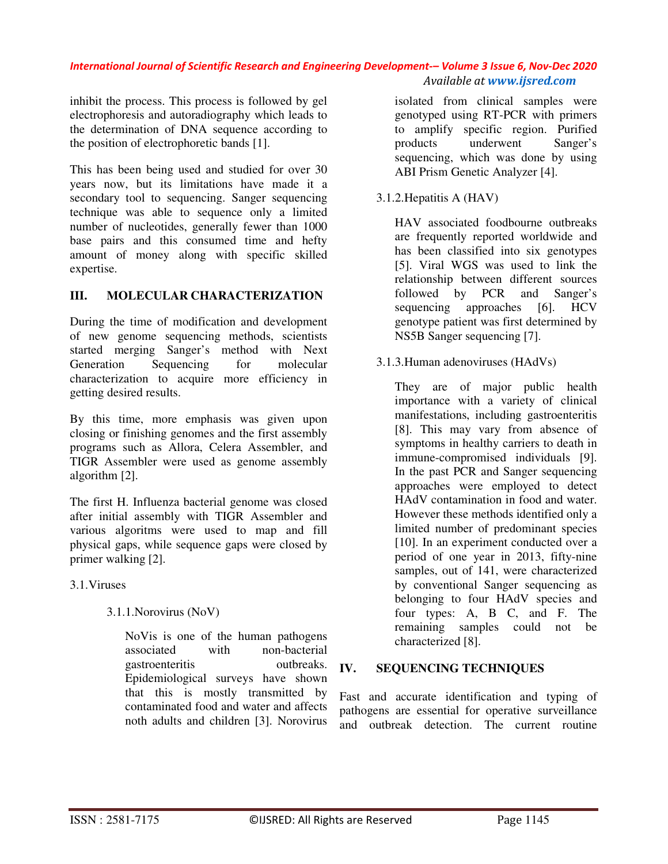inhibit the process. This process is followed by gel electrophoresis and autoradiography which leads to the determination of DNA sequence according to the position of electrophoretic bands [1].

This has been being used and studied for over 30 years now, but its limitations have made it a secondary tool to sequencing. Sanger sequencing technique was able to sequence only a limited number of nucleotides, generally fewer than 1000 base pairs and this consumed time and hefty amount of money along with specific skilled expertise.

# **III. MOLECULAR CHARACTERIZATION**

During the time of modification and development of new genome sequencing methods, scientists started merging Sanger's method with Next Generation Sequencing for molecular characterization to acquire more efficiency in getting desired results.

By this time, more emphasis was given upon closing or finishing genomes and the first assembly programs such as Allora, Celera Assembler, and TIGR Assembler were used as genome assembly algorithm [2].

The first H. Influenza bacterial genome was closed after initial assembly with TIGR Assembler and various algoritms were used to map and fill physical gaps, while sequence gaps were closed by primer walking [2].

3.1.Viruses

3.1.1.Norovirus (NoV)

NoVis is one of the human pathogens associated with non-bacterial gastroenteritis outbreaks. Epidemiological surveys have shown that this is mostly transmitted by contaminated food and water and affects noth adults and children [3]. Norovirus

isolated from clinical samples were genotyped using RT-PCR with primers to amplify specific region. Purified products underwent Sanger's sequencing, which was done by using ABI Prism Genetic Analyzer [4].

3.1.2.Hepatitis A (HAV)

HAV associated foodbourne outbreaks are frequently reported worldwide and has been classified into six genotypes [5]. Viral WGS was used to link the relationship between different sources followed by PCR and Sanger's sequencing approaches [6]. HCV genotype patient was first determined by NS5B Sanger sequencing [7].

3.1.3.Human adenoviruses (HAdVs)

They are of major public health importance with a variety of clinical manifestations, including gastroenteritis [8]. This may vary from absence of symptoms in healthy carriers to death in immune-compromised individuals [9]. In the past PCR and Sanger sequencing approaches were employed to detect HAdV contamination in food and water. However these methods identified only a limited number of predominant species [10]. In an experiment conducted over a period of one year in 2013, fifty-nine samples, out of 141, were characterized by conventional Sanger sequencing as belonging to four HAdV species and four types: A, B C, and F. The remaining samples could not be characterized [8].

# **IV. SEQUENCING TECHNIQUES**

Fast and accurate identification and typing of pathogens are essential for operative surveillance and outbreak detection. The current routine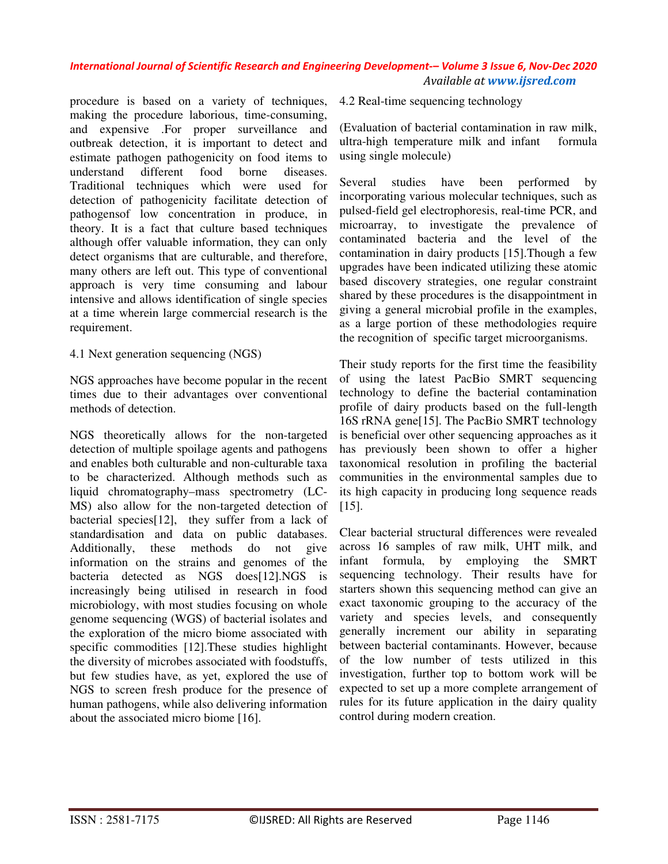procedure is based on a variety of techniques, making the procedure laborious, time-consuming, and expensive .For proper surveillance and outbreak detection, it is important to detect and estimate pathogen pathogenicity on food items to understand different food borne diseases. Traditional techniques which were used for detection of pathogenicity facilitate detection of pathogensof low concentration in produce, in theory. It is a fact that culture based techniques although offer valuable information, they can only detect organisms that are culturable, and therefore, many others are left out. This type of conventional approach is very time consuming and labour intensive and allows identification of single species at a time wherein large commercial research is the requirement.

4.1 Next generation sequencing (NGS)

NGS approaches have become popular in the recent times due to their advantages over conventional methods of detection.

NGS theoretically allows for the non-targeted detection of multiple spoilage agents and pathogens and enables both culturable and non-culturable taxa to be characterized. Although methods such as liquid chromatography–mass spectrometry (LC-MS) also allow for the non-targeted detection of bacterial species[12], they suffer from a lack of standardisation and data on public databases. Additionally, these methods do not give information on the strains and genomes of the bacteria detected as NGS does[12].NGS is increasingly being utilised in research in food microbiology, with most studies focusing on whole genome sequencing (WGS) of bacterial isolates and the exploration of the micro biome associated with specific commodities [12].These studies highlight the diversity of microbes associated with foodstuffs, but few studies have, as yet, explored the use of NGS to screen fresh produce for the presence of human pathogens, while also delivering information about the associated micro biome [16].

4.2 Real-time sequencing technology

(Evaluation of bacterial contamination in raw milk, ultra-high temperature milk and infant formula using single molecule)

Several studies have been performed by incorporating various molecular techniques, such as pulsed-field gel electrophoresis, real-time PCR, and microarray, to investigate the prevalence of contaminated bacteria and the level of the contamination in dairy products [15].Though a few upgrades have been indicated utilizing these atomic based discovery strategies, one regular constraint shared by these procedures is the disappointment in giving a general microbial profile in the examples, as a large portion of these methodologies require the recognition of specific target microorganisms.

Their study reports for the first time the feasibility of using the latest PacBio SMRT sequencing technology to define the bacterial contamination profile of dairy products based on the full-length 16S rRNA gene[15]. The PacBio SMRT technology is beneficial over other sequencing approaches as it has previously been shown to offer a higher taxonomical resolution in profiling the bacterial communities in the environmental samples due to its high capacity in producing long sequence reads [15].

Clear bacterial structural differences were revealed across 16 samples of raw milk, UHT milk, and infant formula, by employing the SMRT sequencing technology. Their results have for starters shown this sequencing method can give an exact taxonomic grouping to the accuracy of the variety and species levels, and consequently generally increment our ability in separating between bacterial contaminants. However, because of the low number of tests utilized in this investigation, further top to bottom work will be expected to set up a more complete arrangement of rules for its future application in the dairy quality control during modern creation.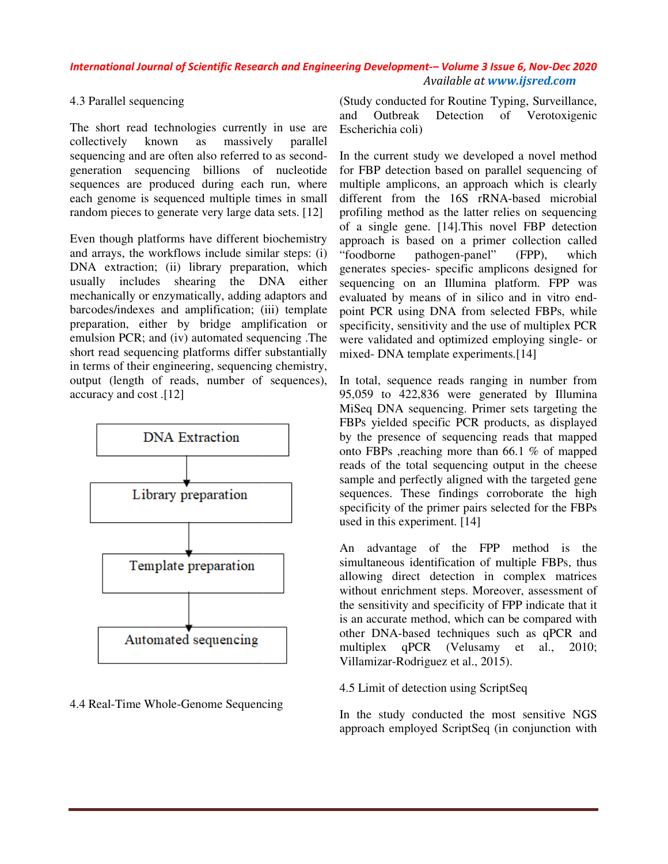# 4.3 Parallel sequencing

The short read technologies currently in use are collectively known as massively parallel The short read technologies currently in use are collectively known as massively parallel sequencing and are often also referred to as secondgeneration sequencing billions of nucleotide sequences are produced during each run, where each genome is sequenced multiple times in small random pieces to generate very large data sets. [12]

Even though platforms have different biochemistry and arrays, the workflows include similar steps: (i) DNA extraction; (ii) library preparation, which usually includes shearing the DNA either mechanically or enzymatically, adding adaptors and barcodes/indexes and amplification; (iii) template preparation, either by bridge amplification or emulsion PCR; and (iv) automated sequencing .The short read sequencing platforms differ substantially in terms of their engineering, sequencing chemistry, output (length of reads, number of sequences), accuracy and cost .[12]



#### 4.4 Real-Time Whole-Genome Sequencing

and Outbreak Detection of Verotoxigenic Escherichia coli)

the modifier caterial of the catterial of the catterial of the server state of the server state in the caterial of the cater is of the cation of the cation of the cation of the cation of the cater of the server of the ser In the current study we developed a novel method for FBP detection based on parallel sequencing of multiple amplicons, an approach which is clearly (Study conducted for Routine Typing, Surveillance,<br>and Outbreak Detection of Verotoxigenic<br>Escherichia coli)<br>In the current study we developed a novel method<br>for FBP detection based on parallel sequencing of<br>multiple ampli profiling method as the latter relies on sequencing of a single gene. [14].This novel FBP detection profiling method as the latter relies on sequencing<br>of a single gene. [14].This novel FBP detection<br>approach is based on a primer collection called "foodborne pathogen-panel" (FPP), which generates species- specific amplicons designed for sequencing on an Illumina platform. FPP was evaluated by means of in silico and in vitro end point PCR using DNA from selected FBPs, while specificity, sensitivity and the use of multiplex PCR specificity, sensitivity and the use of multiplex PCR<br>were validated and optimized employing single- or mixed- DNA template experiments.[14] "foodborne pathogen-panel" (FPP), which<br>generates species- specific amplicons designed for<br>sequencing on an Illumina platform. FPP was<br>evaluated by means of in silico and in vitro end-

In total, sequence reads ranging in number from 95,059 to 422,836 were generated by Illumina mixed- DNA template experiments. [14]<br>In total, sequence reads ranging in number from<br>95,059 to 422,836 were generated by Illumina<br>MiSeq DNA sequencing. Primer sets targeting the FBPs yielded specific PCR products, as displayed by the presence of sequencing reads that mapped onto FBPs ,reaching more than 66.1 % of mapped reads of the total sequencing output in the cheese FBPs yielded specific PCR products, as displayed<br>by the presence of sequencing reads that mapped<br>onto FBPs ,reaching more than 66.1 % of mapped<br>reads of the total sequencing output in the cheese<br>sample and perfectly aligne sequences. These findings corroborate the high specificity of the primer pairs selected for the FBPs used in this experiment. [14]

An advantage of the FPP method is the simultaneous identification of multiple FBPs, thus allowing direct detection in complex matrices without enrichment steps. Moreover, assessment of the sensitivity and specificity of FPP indicate that it is an accurate method, which can be compared with other DNA-based techniques such as qPCR and multiplex qPCR (Velusamy et al., 2010; Villamizar-Rodriguez et al., 2015). sequences. These findings corroborate the high<br>specificity of the primer pairs selected for the FBPs<br>used in this experiment. [14]<br>An advantage of the FPP method is the<br>simultaneous identification of multiple FBPs, thus<br>al

#### 4.5 Limit of detection using ScriptSeq

In the study conducted the most sensitive NGS Villamizar-Rodriguez et al., 2015).<br>4.5 Limit of detection using ScriptSeq<br>In the study conducted the most sensitive NGS<br>approach employed ScriptSeq (in conjunction with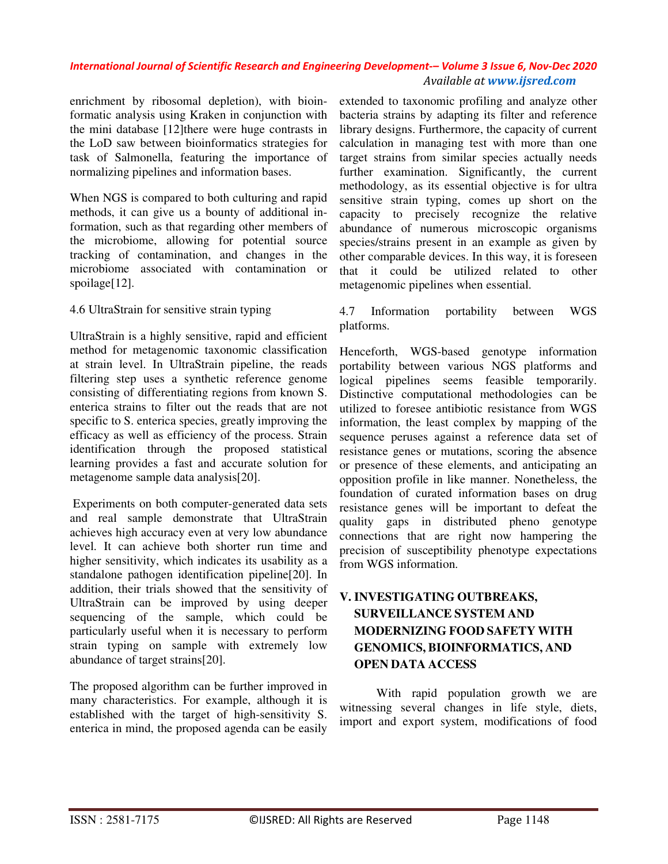enrichment by ribosomal depletion), with bioinformatic analysis using Kraken in conjunction with the mini database [12]there were huge contrasts in the LoD saw between bioinformatics strategies for task of Salmonella, featuring the importance of normalizing pipelines and information bases.

When NGS is compared to both culturing and rapid methods, it can give us a bounty of additional information, such as that regarding other members of the microbiome, allowing for potential source tracking of contamination, and changes in the microbiome associated with contamination or spoilage[12].

## 4.6 UltraStrain for sensitive strain typing

UltraStrain is a highly sensitive, rapid and efficient method for metagenomic taxonomic classification at strain level. In UltraStrain pipeline, the reads filtering step uses a synthetic reference genome consisting of differentiating regions from known S. enterica strains to filter out the reads that are not specific to S. enterica species, greatly improving the efficacy as well as efficiency of the process. Strain identification through the proposed statistical learning provides a fast and accurate solution for metagenome sample data analysis[20].

 Experiments on both computer-generated data sets and real sample demonstrate that UltraStrain achieves high accuracy even at very low abundance level. It can achieve both shorter run time and higher sensitivity, which indicates its usability as a standalone pathogen identification pipeline[20]. In addition, their trials showed that the sensitivity of UltraStrain can be improved by using deeper sequencing of the sample, which could be particularly useful when it is necessary to perform strain typing on sample with extremely low abundance of target strains[20].

The proposed algorithm can be further improved in many characteristics. For example, although it is established with the target of high-sensitivity S. enterica in mind, the proposed agenda can be easily

extended to taxonomic profiling and analyze other bacteria strains by adapting its filter and reference library designs. Furthermore, the capacity of current calculation in managing test with more than one target strains from similar species actually needs further examination. Significantly, the current methodology, as its essential objective is for ultra sensitive strain typing, comes up short on the capacity to precisely recognize the relative abundance of numerous microscopic organisms species/strains present in an example as given by other comparable devices. In this way, it is foreseen that it could be utilized related to other metagenomic pipelines when essential.

4.7 Information portability between WGS platforms.

Henceforth, WGS-based genotype information portability between various NGS platforms and logical pipelines seems feasible temporarily. Distinctive computational methodologies can be utilized to foresee antibiotic resistance from WGS information, the least complex by mapping of the sequence peruses against a reference data set of resistance genes or mutations, scoring the absence or presence of these elements, and anticipating an opposition profile in like manner. Nonetheless, the foundation of curated information bases on drug resistance genes will be important to defeat the quality gaps in distributed pheno genotype connections that are right now hampering the precision of susceptibility phenotype expectations from WGS information.

# **V. INVESTIGATING OUTBREAKS, SURVEILLANCE SYSTEM AND MODERNIZING FOOD SAFETY WITH GENOMICS, BIOINFORMATICS, AND OPEN DATA ACCESS**

With rapid population growth we are witnessing several changes in life style, diets, import and export system, modifications of food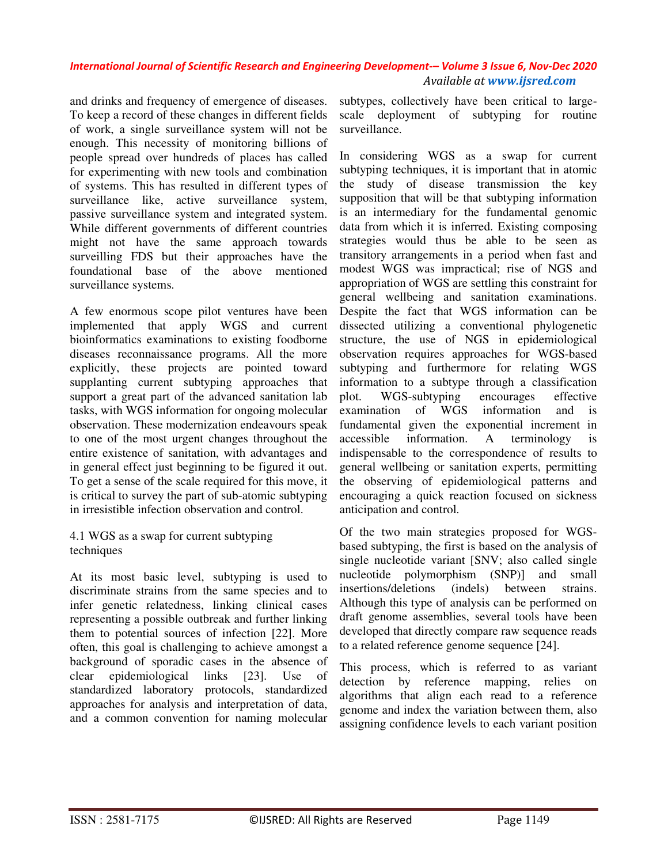and drinks and frequency of emergence of diseases. To keep a record of these changes in different fields of work, a single surveillance system will not be enough. This necessity of monitoring billions of people spread over hundreds of places has called for experimenting with new tools and combination of systems. This has resulted in different types of surveillance like, active surveillance system, passive surveillance system and integrated system. While different governments of different countries might not have the same approach towards surveilling FDS but their approaches have the foundational base of the above mentioned surveillance systems.

A few enormous scope pilot ventures have been implemented that apply WGS and current bioinformatics examinations to existing foodborne diseases reconnaissance programs. All the more explicitly, these projects are pointed toward supplanting current subtyping approaches that support a great part of the advanced sanitation lab tasks, with WGS information for ongoing molecular observation. These modernization endeavours speak to one of the most urgent changes throughout the entire existence of sanitation, with advantages and in general effect just beginning to be figured it out. To get a sense of the scale required for this move, it is critical to survey the part of sub-atomic subtyping in irresistible infection observation and control.

## 4.1 WGS as a swap for current subtyping techniques

At its most basic level, subtyping is used to discriminate strains from the same species and to infer genetic relatedness, linking clinical cases representing a possible outbreak and further linking them to potential sources of infection [22]. More often, this goal is challenging to achieve amongst a background of sporadic cases in the absence of clear epidemiological links [23]. Use of standardized laboratory protocols, standardized approaches for analysis and interpretation of data, and a common convention for naming molecular

subtypes, collectively have been critical to largescale deployment of subtyping for routine surveillance.

In considering WGS as a swap for current subtyping techniques, it is important that in atomic the study of disease transmission the key supposition that will be that subtyping information is an intermediary for the fundamental genomic data from which it is inferred. Existing composing strategies would thus be able to be seen as transitory arrangements in a period when fast and modest WGS was impractical; rise of NGS and appropriation of WGS are settling this constraint for general wellbeing and sanitation examinations. Despite the fact that WGS information can be dissected utilizing a conventional phylogenetic structure, the use of NGS in epidemiological observation requires approaches for WGS-based subtyping and furthermore for relating WGS information to a subtype through a classification plot. WGS-subtyping encourages effective examination of WGS information and is fundamental given the exponential increment in accessible information. A terminology is indispensable to the correspondence of results to general wellbeing or sanitation experts, permitting the observing of epidemiological patterns and encouraging a quick reaction focused on sickness anticipation and control.

Of the two main strategies proposed for WGSbased subtyping, the first is based on the analysis of single nucleotide variant [SNV; also called single nucleotide polymorphism (SNP)] and small insertions/deletions (indels) between strains. Although this type of analysis can be performed on draft genome assemblies, several tools have been developed that directly compare raw sequence reads to a related reference genome sequence [24].

This process, which is referred to as variant detection by reference mapping, relies on algorithms that align each read to a reference genome and index the variation between them, also assigning confidence levels to each variant position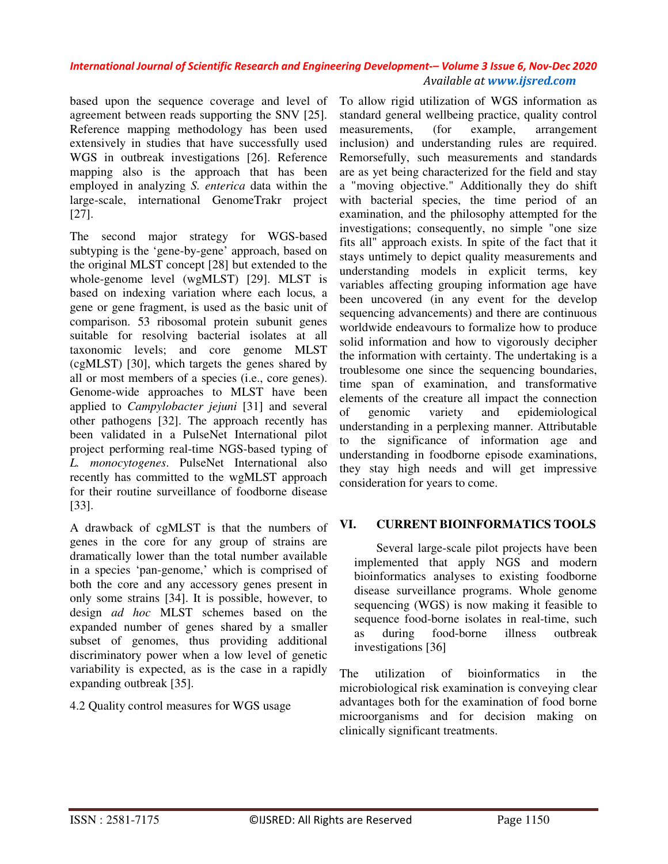based upon the sequence coverage and level of agreement between reads supporting the SNV [25]. Reference mapping methodology has been used extensively in studies that have successfully used WGS in outbreak investigations [26]. Reference mapping also is the approach that has been employed in analyzing *S. enterica* data within the large-scale, international GenomeTrakr project [27].

The second major strategy for WGS-based subtyping is the 'gene-by-gene' approach, based on the original MLST concept [28] but extended to the whole-genome level (wgMLST) [29]. MLST is based on indexing variation where each locus, a gene or gene fragment, is used as the basic unit of comparison. 53 ribosomal protein subunit genes suitable for resolving bacterial isolates at all taxonomic levels; and core genome MLST (cgMLST) [30], which targets the genes shared by all or most members of a species (i.e., core genes). Genome-wide approaches to MLST have been applied to *Campylobacter jejuni* [31] and several other pathogens [32]. The approach recently has been validated in a PulseNet International pilot project performing real-time NGS-based typing of *L. monocytogenes*. PulseNet International also recently has committed to the wgMLST approach for their routine surveillance of foodborne disease [33].

A drawback of cgMLST is that the numbers of genes in the core for any group of strains are dramatically lower than the total number available in a species 'pan-genome,' which is comprised of both the core and any accessory genes present in only some strains [34]. It is possible, however, to design *ad hoc* MLST schemes based on the expanded number of genes shared by a smaller subset of genomes, thus providing additional discriminatory power when a low level of genetic variability is expected, as is the case in a rapidly expanding outbreak [35].

4.2 Quality control measures for WGS usage

To allow rigid utilization of WGS information as standard general wellbeing practice, quality control measurements, (for example, arrangement inclusion) and understanding rules are required. Remorsefully, such measurements and standards are as yet being characterized for the field and stay a "moving objective." Additionally they do shift with bacterial species, the time period of an examination, and the philosophy attempted for the investigations; consequently, no simple "one size fits all" approach exists. In spite of the fact that it stays untimely to depict quality measurements and understanding models in explicit terms, key variables affecting grouping information age have been uncovered (in any event for the develop sequencing advancements) and there are continuous worldwide endeavours to formalize how to produce solid information and how to vigorously decipher the information with certainty. The undertaking is a troublesome one since the sequencing boundaries, time span of examination, and transformative elements of the creature all impact the connection of genomic variety and epidemiological understanding in a perplexing manner. Attributable to the significance of information age and understanding in foodborne episode examinations, they stay high needs and will get impressive consideration for years to come.

# **VI. CURRENT BIOINFORMATICS TOOLS**

Several large-scale pilot projects have been implemented that apply NGS and modern bioinformatics analyses to existing foodborne disease surveillance programs. Whole genome sequencing (WGS) is now making it feasible to sequence food-borne isolates in real-time, such as during food-borne illness outbreak investigations [36]

The utilization of bioinformatics in the microbiological risk examination is conveying clear advantages both for the examination of food borne microorganisms and for decision making on clinically significant treatments.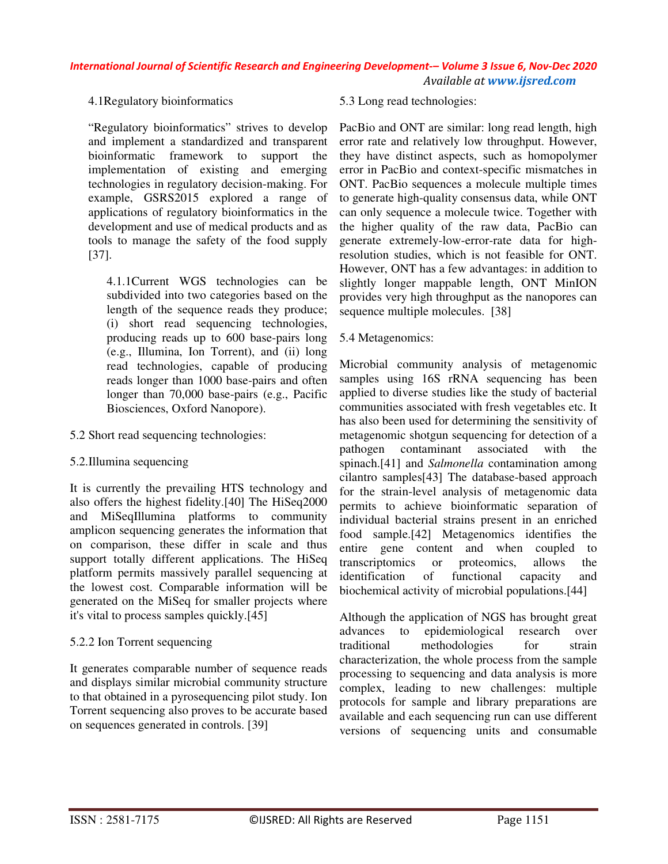### 4.1Regulatory bioinformatics

"Regulatory bioinformatics" strives to develop and implement a standardized and transparent bioinformatic framework to support the implementation of existing and emerging technologies in regulatory decision-making. For example, GSRS2015 explored a range of applications of regulatory bioinformatics in the development and use of medical products and as tools to manage the safety of the food supply [37].

4.1.1Current WGS technologies can be subdivided into two categories based on the length of the sequence reads they produce; (i) short read sequencing technologies, producing reads up to 600 base-pairs long (e.g., Illumina, Ion Torrent), and (ii) long read technologies, capable of producing reads longer than 1000 base-pairs and often longer than 70,000 base-pairs (e.g., Pacific Biosciences, Oxford Nanopore).

- 5.2 Short read sequencing technologies:
- 5.2.Illumina sequencing

It is currently the prevailing HTS technology and also offers the highest fidelity.[40] The HiSeq2000 and MiSeqIllumina platforms to community amplicon sequencing generates the information that on comparison, these differ in scale and thus support totally different applications. The HiSeq platform permits massively parallel sequencing at the lowest cost. Comparable information will be generated on the MiSeq for smaller projects where it's vital to process samples quickly.[45]

## 5.2.2 Ion Torrent sequencing

It generates comparable number of sequence reads and displays similar microbial community structure to that obtained in a pyrosequencing pilot study. Ion Torrent sequencing also proves to be accurate based on sequences generated in controls. [39]

## 5.3 Long read technologies:

PacBio and ONT are similar: long read length, high error rate and relatively low throughput. However, they have distinct aspects, such as homopolymer error in PacBio and context-specific mismatches in ONT. PacBio sequences a molecule multiple times to generate high-quality consensus data, while ONT can only sequence a molecule twice. Together with the higher quality of the raw data, PacBio can generate extremely-low-error-rate data for highresolution studies, which is not feasible for ONT. However, ONT has a few advantages: in addition to slightly longer mappable length, ONT MinION provides very high throughput as the nanopores can sequence multiple molecules. [38]

### 5.4 Metagenomics:

Microbial community analysis of metagenomic samples using 16S rRNA sequencing has been applied to diverse studies like the study of bacterial communities associated with fresh vegetables etc. It has also been used for determining the sensitivity of metagenomic shotgun sequencing for detection of a pathogen contaminant associated with the spinach.[41] and *Salmonella* contamination among cilantro samples[43] The database-based approach for the strain-level analysis of metagenomic data permits to achieve bioinformatic separation of individual bacterial strains present in an enriched food sample.[42] Metagenomics identifies the entire gene content and when coupled to transcriptomics or proteomics, allows the identification of functional capacity and biochemical activity of microbial populations.[44]

Although the application of NGS has brought great<br>advances to epidemiological research over advances to epidemiological traditional methodologies for strain characterization, the whole process from the sample processing to sequencing and data analysis is more complex, leading to new challenges: multiple protocols for sample and library preparations are available and each sequencing run can use different versions of sequencing units and consumable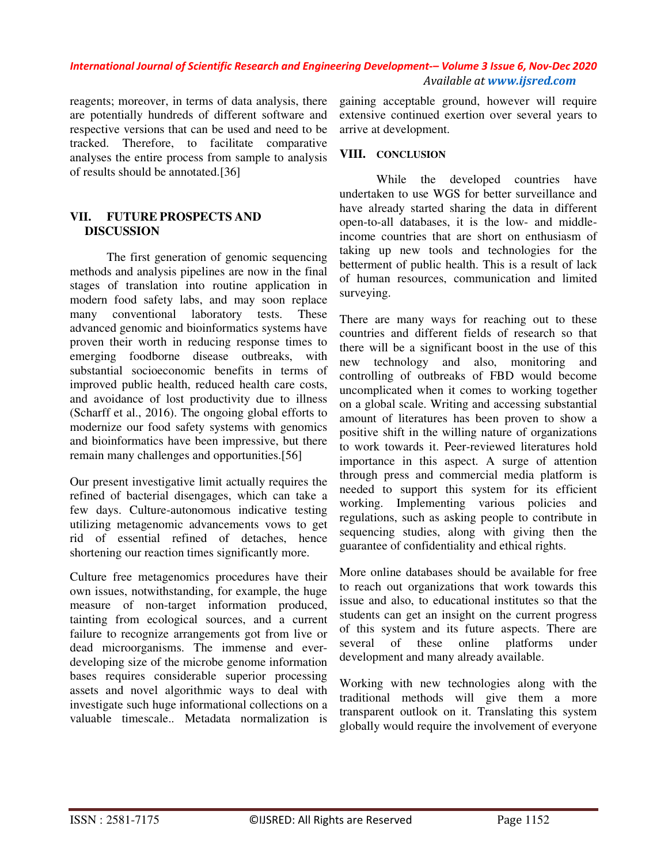reagents; moreover, in terms of data analysis, there are potentially hundreds of different software and respective versions that can be used and need to be tracked. Therefore, to facilitate comparative analyses the entire process from sample to analysis of results should be annotated.[36]

### **VII. FUTURE PROSPECTS AND DISCUSSION**

The first generation of genomic sequencing methods and analysis pipelines are now in the final stages of translation into routine application in modern food safety labs, and may soon replace many conventional laboratory tests. These advanced genomic and bioinformatics systems have proven their worth in reducing response times to emerging foodborne disease outbreaks, with substantial socioeconomic benefits in terms of improved public health, reduced health care costs, and avoidance of lost productivity due to illness (Scharff et al., 2016). The ongoing global efforts to modernize our food safety systems with genomics and bioinformatics have been impressive, but there remain many challenges and opportunities.[56]

Our present investigative limit actually requires the refined of bacterial disengages, which can take a few days. Culture-autonomous indicative testing utilizing metagenomic advancements vows to get rid of essential refined of detaches, hence shortening our reaction times significantly more.

Culture free metagenomics procedures have their own issues, notwithstanding, for example, the huge measure of non-target information produced, tainting from ecological sources, and a current failure to recognize arrangements got from live or dead microorganisms. The immense and everdeveloping size of the microbe genome information bases requires considerable superior processing assets and novel algorithmic ways to deal with investigate such huge informational collections on a valuable timescale.. Metadata normalization is

gaining acceptable ground, however will require extensive continued exertion over several years to arrive at development.

### **VIII. CONCLUSION**

While the developed countries have undertaken to use WGS for better surveillance and have already started sharing the data in different open-to-all databases, it is the low- and middleincome countries that are short on enthusiasm of taking up new tools and technologies for the betterment of public health. This is a result of lack of human resources, communication and limited surveying.

There are many ways for reaching out to these countries and different fields of research so that there will be a significant boost in the use of this new technology and also, monitoring and controlling of outbreaks of FBD would become uncomplicated when it comes to working together on a global scale. Writing and accessing substantial amount of literatures has been proven to show a positive shift in the willing nature of organizations to work towards it. Peer-reviewed literatures hold importance in this aspect. A surge of attention through press and commercial media platform is needed to support this system for its efficient working. Implementing various policies and regulations, such as asking people to contribute in sequencing studies, along with giving then the guarantee of confidentiality and ethical rights.

More online databases should be available for free to reach out organizations that work towards this issue and also, to educational institutes so that the students can get an insight on the current progress of this system and its future aspects. There are several of these online platforms under development and many already available.

Working with new technologies along with the traditional methods will give them a more transparent outlook on it. Translating this system globally would require the involvement of everyone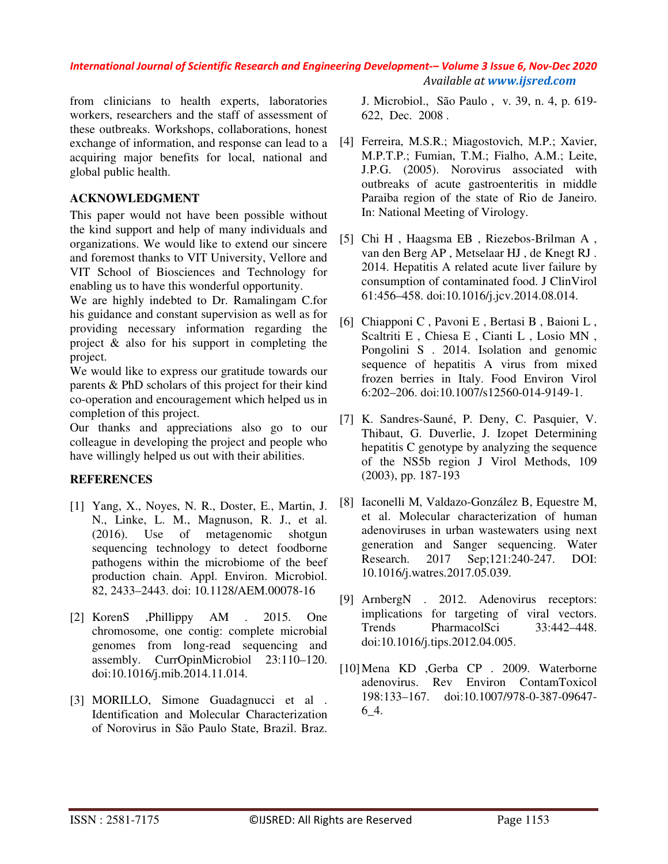from clinicians to health experts, laboratories workers, researchers and the staff of assessment of these outbreaks. Workshops, collaborations, honest exchange of information, and response can lead to a acquiring major benefits for local, national and global public health.

### **ACKNOWLEDGMENT**

This paper would not have been possible without the kind support and help of many individuals and organizations. We would like to extend our sincere and foremost thanks to VIT University, Vellore and VIT School of Biosciences and Technology for enabling us to have this wonderful opportunity.

We are highly indebted to Dr. Ramalingam C.for his guidance and constant supervision as well as for providing necessary information regarding the project & also for his support in completing the project.

We would like to express our gratitude towards our parents & PhD scholars of this project for their kind co-operation and encouragement which helped us in completion of this project.

Our thanks and appreciations also go to our colleague in developing the project and people who have willingly helped us out with their abilities.

## **REFERENCES**

- [1] Yang, X., Noyes, N. R., Doster, E., Martin, J. N., Linke, L. M., Magnuson, R. J., et al. (2016). Use of metagenomic shotgun sequencing technology to detect foodborne pathogens within the microbiome of the beef production chain. Appl. Environ. Microbiol. 82, 2433–2443. doi: 10.1128/AEM.00078-16
- [2] KorenS ,Phillippy AM . 2015. One chromosome, one contig: complete microbial genomes from long-read sequencing and assembly. CurrOpinMicrobiol 23:110–120. doi:10.1016/j.mib.2014.11.014.
- [3] MORILLO, Simone Guadagnucci et al . Identification and Molecular Characterization of Norovirus in São Paulo State, Brazil. Braz.

J. Microbiol., São Paulo , v. 39, n. 4, p. 619- 622, Dec. 2008 .

- [4] Ferreira, M.S.R.; Miagostovich, M.P.; Xavier, M.P.T.P.; Fumian, T.M.; Fialho, A.M.; Leite, J.P.G. (2005). Norovirus associated with outbreaks of acute gastroenteritis in middle Paraiba region of the state of Rio de Janeiro. In: National Meeting of Virology.
- [5] Chi H , Haagsma EB , Riezebos-Brilman A , van den Berg AP , Metselaar HJ , de Knegt RJ . 2014. Hepatitis A related acute liver failure by consumption of contaminated food. J ClinVirol 61:456–458. doi:10.1016/j.jcv.2014.08.014.
- [6] Chiapponi C , Pavoni E , Bertasi B , Baioni L , Scaltriti E , Chiesa E , Cianti L , Losio MN , Pongolini S . 2014. Isolation and genomic sequence of hepatitis A virus from mixed frozen berries in Italy. Food Environ Virol 6:202–206. doi:10.1007/s12560-014-9149-1.
- [7] K. Sandres-Sauné, P. Deny, C. Pasquier, V. Thibaut, G. Duverlie, J. Izopet Determining hepatitis C genotype by analyzing the sequence of the NS5b region J Virol Methods, 109 (2003), pp. 187-193
- [8] Iaconelli M, Valdazo-González B, Equestre M, et al. Molecular characterization of human adenoviruses in urban wastewaters using next generation and Sanger sequencing. Water Research. 2017 Sep;121:240-247. DOI: 10.1016/j.watres.2017.05.039.
- [9] ArnbergN . 2012. Adenovirus receptors: implications for targeting of viral vectors. Trends PharmacolSci 33:442–448. doi:10.1016/j.tips.2012.04.005.
- [10]Mena KD ,Gerba CP . 2009. Waterborne adenovirus. Rev Environ ContamToxicol 198:133–167. doi:10.1007/978-0-387-09647- 6\_4.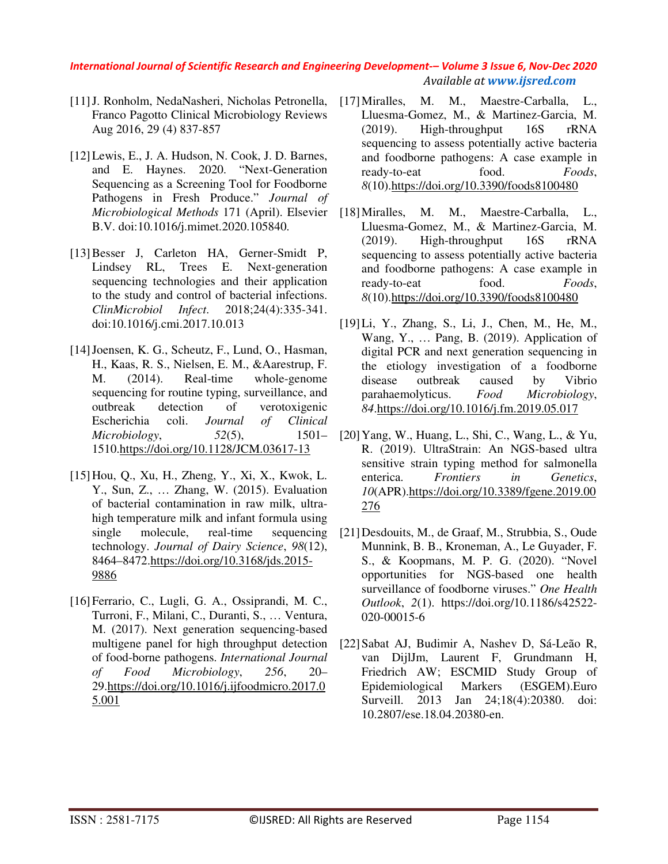- [11]J. Ronholm, NedaNasheri, Nicholas Petronella, Franco Pagotto Clinical Microbiology Reviews Aug 2016, 29 (4) 837-857
- [12]Lewis, E., J. A. Hudson, N. Cook, J. D. Barnes, and E. Haynes. 2020. "Next-Generation Sequencing as a Screening Tool for Foodborne Pathogens in Fresh Produce." *Journal of Microbiological Methods* 171 (April). Elsevier B.V. doi:10.1016/j.mimet.2020.105840.
- [13]Besser J, Carleton HA, Gerner-Smidt P, Lindsey RL, Trees E. Next-generation sequencing technologies and their application to the study and control of bacterial infections. *ClinMicrobiol Infect*. 2018;24(4):335-341. doi:10.1016/j.cmi.2017.10.013
- [14]Joensen, K. G., Scheutz, F., Lund, O., Hasman, H., Kaas, R. S., Nielsen, E. M., &Aarestrup, F. M. (2014). Real-time whole-genome sequencing for routine typing, surveillance, and outbreak detection of verotoxigenic Escherichia coli. *Journal of Clinical Microbiology*, *52*(5), 1501– 1510.https://doi.org/10.1128/JCM.03617-13
- [15]Hou, Q., Xu, H., Zheng, Y., Xi, X., Kwok, L. Y., Sun, Z., … Zhang, W. (2015). Evaluation of bacterial contamination in raw milk, ultrahigh temperature milk and infant formula using single molecule, real-time sequencing technology. *Journal of Dairy Science*, *98*(12), 8464–8472.https://doi.org/10.3168/jds.2015- 9886
- [16]Ferrario, C., Lugli, G. A., Ossiprandi, M. C., Turroni, F., Milani, C., Duranti, S., … Ventura, M. (2017). Next generation sequencing-based multigene panel for high throughput detection of food-borne pathogens. *International Journal of Food Microbiology*, *256*, 20– 29.https://doi.org/10.1016/j.ijfoodmicro.2017.0 5.001
- [17] Miralles, M. M., Maestre-Carballa, L., Lluesma-Gomez, M., & Martinez-Garcia, M. (2019). High-throughput 16S rRNA sequencing to assess potentially active bacteria and foodborne pathogens: A case example in ready-to-eat food. *Foods*, *8*(10).https://doi.org/10.3390/foods8100480
- M. M., Maestre-Carballa, L., Lluesma-Gomez, M., & Martinez-Garcia, M. (2019). High-throughput 16S rRNA sequencing to assess potentially active bacteria and foodborne pathogens: A case example in ready-to-eat food. *Foods*, *8*(10).https://doi.org/10.3390/foods8100480
- [19]Li, Y., Zhang, S., Li, J., Chen, M., He, M., Wang, Y., … Pang, B. (2019). Application of digital PCR and next generation sequencing in the etiology investigation of a foodborne disease outbreak caused by Vibrio parahaemolyticus. *Food Microbiology*, *84*.https://doi.org/10.1016/j.fm.2019.05.017
- [20]Yang, W., Huang, L., Shi, C., Wang, L., & Yu, R. (2019). UltraStrain: An NGS-based ultra sensitive strain typing method for salmonella enterica. *Frontiers in Genetics*, *10*(APR).https://doi.org/10.3389/fgene.2019.00 276
- [21]Desdouits, M., de Graaf, M., Strubbia, S., Oude Munnink, B. B., Kroneman, A., Le Guyader, F. S., & Koopmans, M. P. G. (2020). "Novel opportunities for NGS-based one health surveillance of foodborne viruses." *One Health Outlook*, *2*(1). https://doi.org/10.1186/s42522- 020-00015-6
- [22]Sabat AJ, Budimir A, Nashev D, Sá-Leão R, van DijlJm, Laurent F, Grundmann H, Friedrich AW; ESCMID Study Group of Epidemiological Markers (ESGEM).Euro Surveill. 2013 Jan 24;18(4):20380. doi: 10.2807/ese.18.04.20380-en.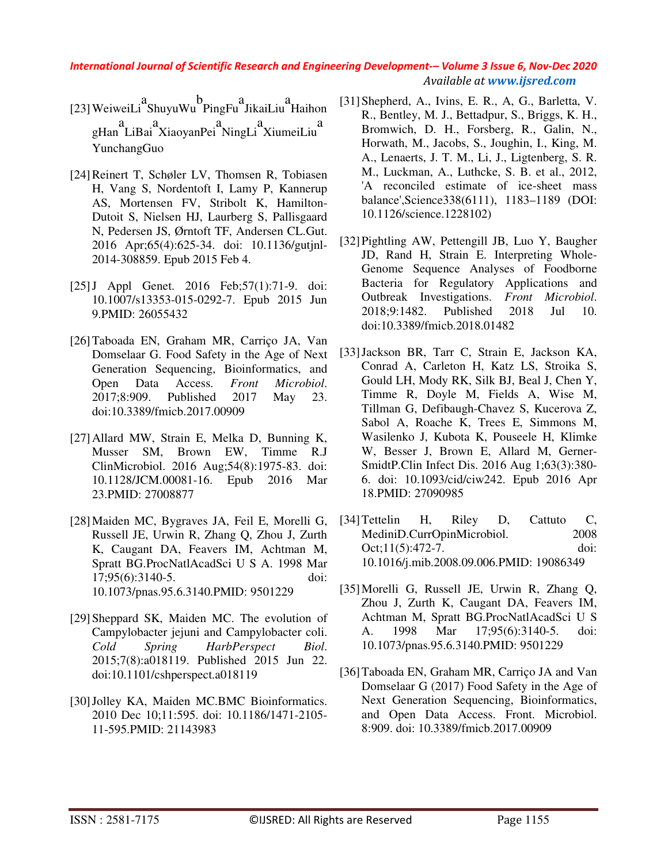- [23]WeiweiLi a ShuyuWu b PingFu a JikaiLiu a Haihon gHan a LiBai a XiaoyanPei a NingLi a XiumeiLiu a YunchangGuo
- [24]Reinert T, Schøler LV, Thomsen R, Tobiasen H, Vang S, Nordentoft I, Lamy P, Kannerup AS, Mortensen FV, Stribolt K, Hamilton-Dutoit S, Nielsen HJ, Laurberg S, Pallisgaard N, Pedersen JS, Ørntoft TF, Andersen CL.Gut. 2016 Apr;65(4):625-34. doi: 10.1136/gutjnl-2014-308859. Epub 2015 Feb 4.
- [25] J Appl Genet. 2016 Feb; 57(1): 71-9. doi: 10.1007/s13353-015-0292-7. Epub 2015 Jun 9.PMID: 26055432
- [26]Taboada EN, Graham MR, Carriço JA, Van Domselaar G. Food Safety in the Age of Next Generation Sequencing, Bioinformatics, and Open Data Access. *Front Microbiol*. 2017;8:909. Published 2017 May 23. doi:10.3389/fmicb.2017.00909
- [27]Allard MW, Strain E, Melka D, Bunning K, Musser SM, Brown EW, Timme R.J ClinMicrobiol. 2016 Aug;54(8):1975-83. doi: 10.1128/JCM.00081-16. Epub 2016 Mar 23.PMID: 27008877
- [28]Maiden MC, Bygraves JA, Feil E, Morelli G, Russell JE, Urwin R, Zhang Q, Zhou J, Zurth K, Caugant DA, Feavers IM, Achtman M, Spratt BG.ProcNatlAcadSci U S A. 1998 Mar 17;95(6):3140-5. doi: 10.1073/pnas.95.6.3140.PMID: 9501229
- [29]Sheppard SK, Maiden MC. The evolution of Campylobacter jejuni and Campylobacter coli. *Cold Spring HarbPerspect Biol*. 2015;7(8):a018119. Published 2015 Jun 22. doi:10.1101/cshperspect.a018119
- [30]Jolley KA, Maiden MC.BMC Bioinformatics. 2010 Dec 10;11:595. doi: 10.1186/1471-2105- 11-595.PMID: 21143983
- [31]Shepherd, A., Ivins, E. R., A, G., Barletta, V. R., Bentley, M. J., Bettadpur, S., Briggs, K. H., Bromwich, D. H., Forsberg, R., Galin, N., Horwath, M., Jacobs, S., Joughin, I., King, M. A., Lenaerts, J. T. M., Li, J., Ligtenberg, S. R. M., Luckman, A., Luthcke, S. B. et al., 2012, 'A reconciled estimate of ice-sheet mass balance',Science338(6111), 1183–1189 (DOI: 10.1126/science.1228102)
- [32]Pightling AW, Pettengill JB, Luo Y, Baugher JD, Rand H, Strain E. Interpreting Whole-Genome Sequence Analyses of Foodborne Bacteria for Regulatory Applications and Outbreak Investigations. *Front Microbiol*. 2018;9:1482. Published 2018 Jul 10. doi:10.3389/fmicb.2018.01482
- [33]Jackson BR, Tarr C, Strain E, Jackson KA, Conrad A, Carleton H, Katz LS, Stroika S, Gould LH, Mody RK, Silk BJ, Beal J, Chen Y, Timme R, Doyle M, Fields A, Wise M, Tillman G, Defibaugh-Chavez S, Kucerova Z, Sabol A, Roache K, Trees E, Simmons M, Wasilenko J, Kubota K, Pouseele H, Klimke W, Besser J, Brown E, Allard M, Gerner-SmidtP.Clin Infect Dis. 2016 Aug 1;63(3):380- 6. doi: 10.1093/cid/ciw242. Epub 2016 Apr 18.PMID: 27090985
- [34] Tettelin H, Riley D, Cattuto C, MediniD.CurrOpinMicrobiol. 2008 Oct;11(5):472-7. doi: 10.1016/j.mib.2008.09.006.PMID: 19086349
- [35]Morelli G, Russell JE, Urwin R, Zhang Q, Zhou J, Zurth K, Caugant DA, Feavers IM, Achtman M, Spratt BG.ProcNatlAcadSci U S A. 1998 Mar 17;95(6):3140-5. doi: 10.1073/pnas.95.6.3140.PMID: 9501229
- [36]Taboada EN, Graham MR, Carriço JA and Van Domselaar G (2017) Food Safety in the Age of Next Generation Sequencing, Bioinformatics, and Open Data Access. Front. Microbiol. 8:909. doi: 10.3389/fmicb.2017.00909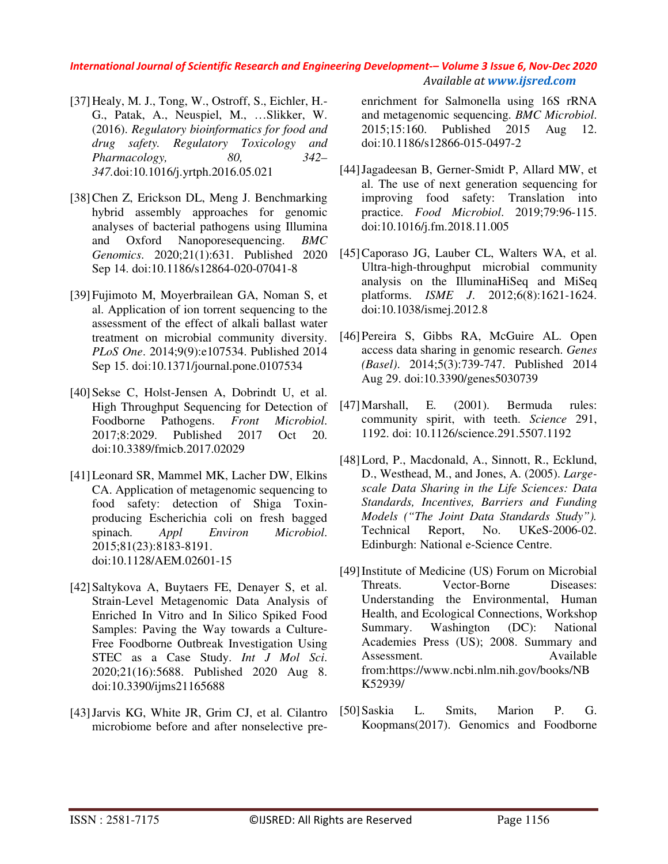- [37]Healy, M. J., Tong, W., Ostroff, S., Eichler, H.- G., Patak, A., Neuspiel, M., …Slikker, W. (2016). *Regulatory bioinformatics for food and drug safety. Regulatory Toxicology and Pharmacology, 80, 342– 347.*doi:10.1016/j.yrtph.2016.05.021
- [38]Chen Z, Erickson DL, Meng J. Benchmarking hybrid assembly approaches for genomic analyses of bacterial pathogens using Illumina and Oxford Nanoporesequencing. *BMC Genomics*. 2020;21(1):631. Published 2020 Sep 14. doi:10.1186/s12864-020-07041-8
- [39]Fujimoto M, Moyerbrailean GA, Noman S, et al. Application of ion torrent sequencing to the assessment of the effect of alkali ballast water treatment on microbial community diversity. *PLoS One*. 2014;9(9):e107534. Published 2014 Sep 15. doi:10.1371/journal.pone.0107534
- [40] Sekse C, Holst-Jensen A, Dobrindt U, et al. High Throughput Sequencing for Detection of Foodborne Pathogens. *Front Microbiol*. 2017;8:2029. Published 2017 Oct 20. doi:10.3389/fmicb.2017.02029
- [41]Leonard SR, Mammel MK, Lacher DW, Elkins CA. Application of metagenomic sequencing to food safety: detection of Shiga Toxinproducing Escherichia coli on fresh bagged spinach. *Appl Environ Microbiol*. 2015;81(23):8183-8191. doi:10.1128/AEM.02601-15
- [42] Saltykova A, Buytaers FE, Denayer S, et al. Strain-Level Metagenomic Data Analysis of Enriched In Vitro and In Silico Spiked Food Samples: Paving the Way towards a Culture-Free Foodborne Outbreak Investigation Using STEC as a Case Study. *Int J Mol Sci*. 2020;21(16):5688. Published 2020 Aug 8. doi:10.3390/ijms21165688
- [43]Jarvis KG, White JR, Grim CJ, et al. Cilantro microbiome before and after nonselective pre-

enrichment for Salmonella using 16S rRNA and metagenomic sequencing. *BMC Microbiol*. 2015;15:160. Published 2015 Aug 12. doi:10.1186/s12866-015-0497-2

- [44]Jagadeesan B, Gerner-Smidt P, Allard MW, et al. The use of next generation sequencing for improving food safety: Translation into practice. *Food Microbiol*. 2019;79:96-115. doi:10.1016/j.fm.2018.11.005
- [45]Caporaso JG, Lauber CL, Walters WA, et al. Ultra-high-throughput microbial community analysis on the IlluminaHiSeq and MiSeq platforms. *ISME J*. 2012;6(8):1621-1624. doi:10.1038/ismej.2012.8
- [46]Pereira S, Gibbs RA, McGuire AL. Open access data sharing in genomic research. *Genes (Basel)*. 2014;5(3):739-747. Published 2014 Aug 29. doi:10.3390/genes5030739
- [47]Marshall, E. (2001). Bermuda rules: community spirit, with teeth. *Science* 291, 1192. doi: 10.1126/science.291.5507.1192
- [48]Lord, P., Macdonald, A., Sinnott, R., Ecklund, D., Westhead, M., and Jones, A. (2005). *Largescale Data Sharing in the Life Sciences: Data Standards, Incentives, Barriers and Funding Models ("The Joint Data Standards Study").* Technical Report, No. UKeS-2006-02. Edinburgh: National e-Science Centre.
- [49]Institute of Medicine (US) Forum on Microbial Threats. Vector-Borne Diseases: Understanding the Environmental, Human Health, and Ecological Connections, Workshop Summary. Washington (DC): National Academies Press (US); 2008. Summary and Assessment. Available from:https://www.ncbi.nlm.nih.gov/books/NB K52939/
- [50]Saskia L. Smits, Marion P. G. Koopmans(2017). Genomics and Foodborne